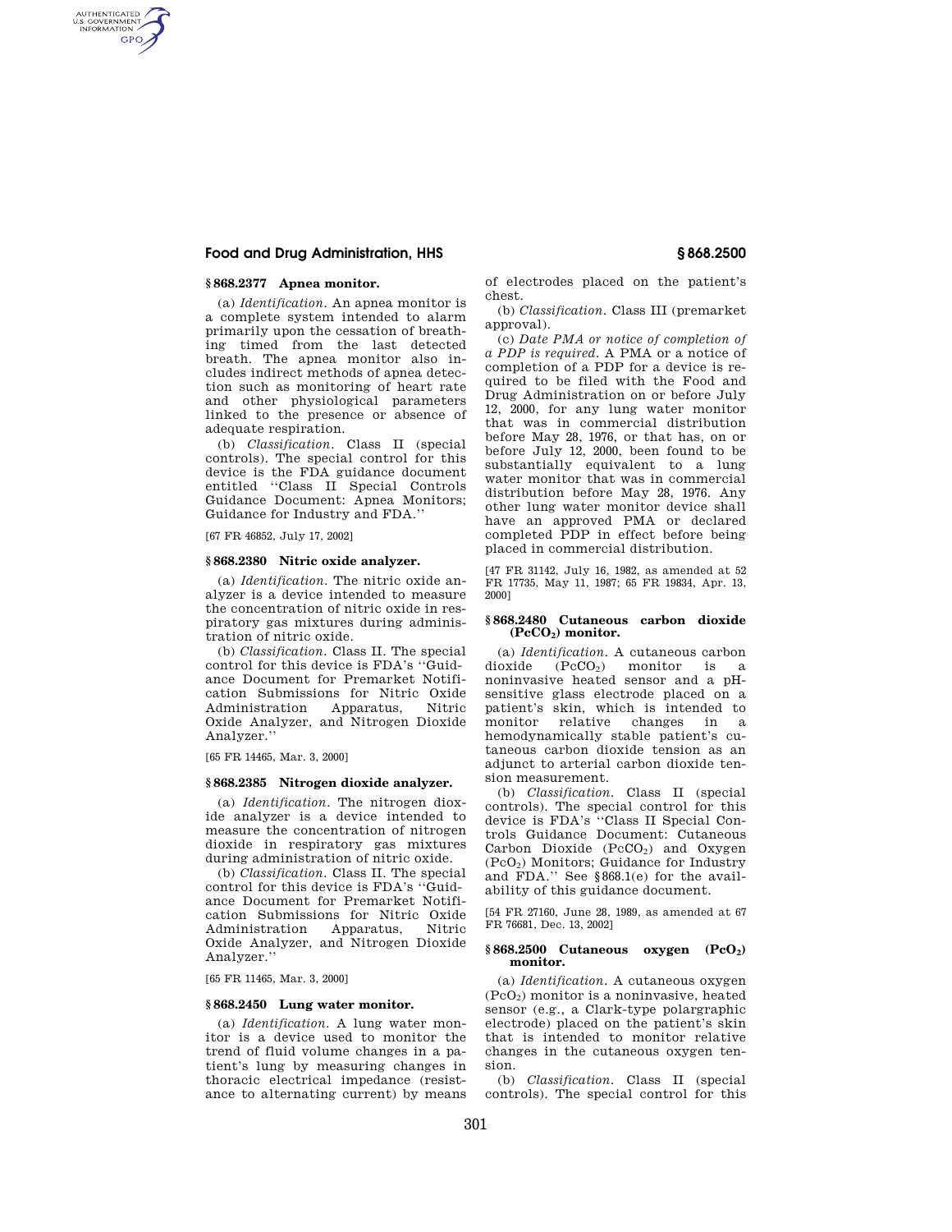# **Food and Drug Administration, HHS § 868.2500**

# **§ 868.2377 Apnea monitor.**

AUTHENTICATED<br>U.S. GOVERNMENT<br>INFORMATION **GPO** 

> (a) *Identification.* An apnea monitor is a complete system intended to alarm primarily upon the cessation of breathing timed from the last detected breath. The apnea monitor also includes indirect methods of apnea detection such as monitoring of heart rate and other physiological parameters linked to the presence or absence of adequate respiration.

> (b) *Classification.* Class II (special controls). The special control for this device is the FDA guidance document entitled ''Class II Special Controls Guidance Document: Apnea Monitors; Guidance for Industry and FDA.''

[67 FR 46852, July 17, 2002]

### **§ 868.2380 Nitric oxide analyzer.**

(a) *Identification.* The nitric oxide analyzer is a device intended to measure the concentration of nitric oxide in respiratory gas mixtures during administration of nitric oxide.

(b) *Classification.* Class II. The special control for this device is FDA's ''Guidance Document for Premarket Notification Submissions for Nitric Oxide Administration Apparatus, Oxide Analyzer, and Nitrogen Dioxide Analyzer.''

[65 FR 14465, Mar. 3, 2000]

#### **§ 868.2385 Nitrogen dioxide analyzer.**

(a) *Identification.* The nitrogen dioxide analyzer is a device intended to measure the concentration of nitrogen dioxide in respiratory gas mixtures during administration of nitric oxide.

(b) *Classification.* Class II. The special control for this device is FDA's ''Guidance Document for Premarket Notification Submissions for Nitric Oxide Administration Oxide Analyzer, and Nitrogen Dioxide Analyzer.''

[65 FR 11465, Mar. 3, 2000]

#### **§ 868.2450 Lung water monitor.**

(a) *Identification.* A lung water monitor is a device used to monitor the trend of fluid volume changes in a patient's lung by measuring changes in thoracic electrical impedance (resistance to alternating current) by means of electrodes placed on the patient's chest.

(b) *Classification.* Class III (premarket approval).

(c) *Date PMA or notice of completion of a PDP is required.* A PMA or a notice of completion of a PDP for a device is required to be filed with the Food and Drug Administration on or before July 12, 2000, for any lung water monitor that was in commercial distribution before May 28, 1976, or that has, on or before July 12, 2000, been found to be substantially equivalent to a lung water monitor that was in commercial distribution before May 28, 1976. Any other lung water monitor device shall have an approved PMA or declared completed PDP in effect before being placed in commercial distribution.

[47 FR 31142, July 16, 1982, as amended at 52 FR 17735, May 11, 1987; 65 FR 19834, Apr. 13, 2000]

#### **§ 868.2480 Cutaneous carbon dioxide (PcCO2) monitor.**

(a) *Identification*. A cutaneous carbon<br>dioxide (PcCO<sub>2</sub>) monitor is a  $(PcCO<sub>2</sub>)$  monitor is a noninvasive heated sensor and a pHsensitive glass electrode placed on a patient's skin, which is intended to monitor relative changes in a hemodynamically stable patient's cutaneous carbon dioxide tension as an adjunct to arterial carbon dioxide tension measurement.

(b) *Classification.* Class II (special controls). The special control for this device is FDA's ''Class II Special Controls Guidance Document: Cutaneous Carbon Dioxide  $(PcCO<sub>2</sub>)$  and Oxygen (PcO2) Monitors; Guidance for Industry and FDA.'' See §868.1(e) for the availability of this guidance document.

[54 FR 27160, June 28, 1989, as amended at 67 FR 76681, Dec. 13, 2002]

#### **§ 868.2500 Cutaneous oxygen (PcO2) monitor.**

(a) *Identification.* A cutaneous oxygen (PcO2) monitor is a noninvasive, heated sensor (e.g., a Clark-type polargraphic electrode) placed on the patient's skin that is intended to monitor relative changes in the cutaneous oxygen tension.

(b) *Classification.* Class II (special controls). The special control for this